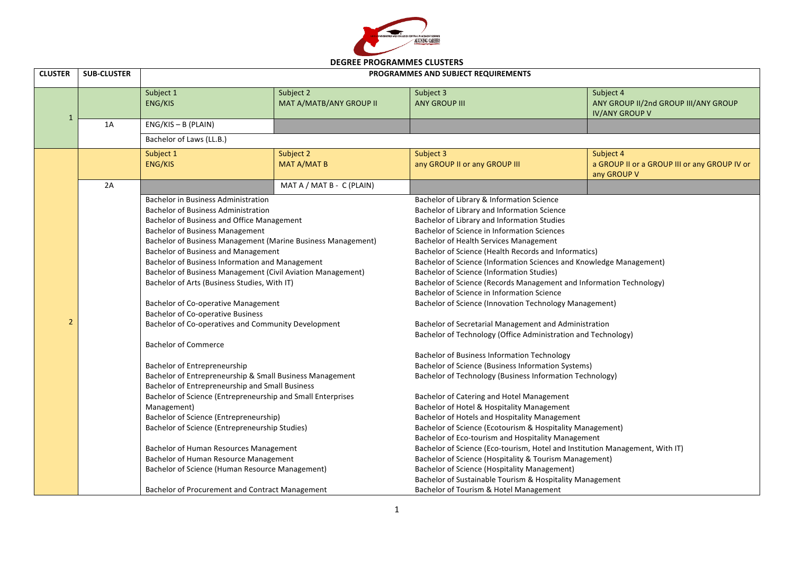

| <b>SUB-CLUSTER</b> | PROGRAMMES AND SUBJECT REQUIREMENTS                                        |                                      |                                                                                                                                                                                                                                                                                                                                                                                                                                                                                                                                                                                                                                                                                                                                                                                                                                                                                                                                                                                                                                                                                      |                                                                                                                                                                                                                                                                                                                                                                                                                                                                                                                                                                                                                                                                                                                                                                                                                                                                                                                                                                                                                                                                                                                                                                                                                                         |  |
|--------------------|----------------------------------------------------------------------------|--------------------------------------|--------------------------------------------------------------------------------------------------------------------------------------------------------------------------------------------------------------------------------------------------------------------------------------------------------------------------------------------------------------------------------------------------------------------------------------------------------------------------------------------------------------------------------------------------------------------------------------------------------------------------------------------------------------------------------------------------------------------------------------------------------------------------------------------------------------------------------------------------------------------------------------------------------------------------------------------------------------------------------------------------------------------------------------------------------------------------------------|-----------------------------------------------------------------------------------------------------------------------------------------------------------------------------------------------------------------------------------------------------------------------------------------------------------------------------------------------------------------------------------------------------------------------------------------------------------------------------------------------------------------------------------------------------------------------------------------------------------------------------------------------------------------------------------------------------------------------------------------------------------------------------------------------------------------------------------------------------------------------------------------------------------------------------------------------------------------------------------------------------------------------------------------------------------------------------------------------------------------------------------------------------------------------------------------------------------------------------------------|--|
|                    | Subject 1<br>ENG/KIS                                                       | Subject 2<br>MAT A/MATB/ANY GROUP II | Subject 3<br><b>ANY GROUP III</b>                                                                                                                                                                                                                                                                                                                                                                                                                                                                                                                                                                                                                                                                                                                                                                                                                                                                                                                                                                                                                                                    | Subject 4<br>ANY GROUP II/2nd GROUP III/ANY GROUP<br><b>IV/ANY GROUP V</b>                                                                                                                                                                                                                                                                                                                                                                                                                                                                                                                                                                                                                                                                                                                                                                                                                                                                                                                                                                                                                                                                                                                                                              |  |
| 1A                 | $ENG/KIS - B$ (PLAIN)                                                      |                                      |                                                                                                                                                                                                                                                                                                                                                                                                                                                                                                                                                                                                                                                                                                                                                                                                                                                                                                                                                                                                                                                                                      |                                                                                                                                                                                                                                                                                                                                                                                                                                                                                                                                                                                                                                                                                                                                                                                                                                                                                                                                                                                                                                                                                                                                                                                                                                         |  |
|                    | Bachelor of Laws (LL.B.)                                                   |                                      |                                                                                                                                                                                                                                                                                                                                                                                                                                                                                                                                                                                                                                                                                                                                                                                                                                                                                                                                                                                                                                                                                      |                                                                                                                                                                                                                                                                                                                                                                                                                                                                                                                                                                                                                                                                                                                                                                                                                                                                                                                                                                                                                                                                                                                                                                                                                                         |  |
|                    | Subject 1<br><b>ENG/KIS</b>                                                | Subject 2<br>MAT A/MAT B             | Subject 3<br>any GROUP II or any GROUP III                                                                                                                                                                                                                                                                                                                                                                                                                                                                                                                                                                                                                                                                                                                                                                                                                                                                                                                                                                                                                                           | Subject 4<br>a GROUP II or a GROUP III or any GROUP IV or<br>any GROUP V                                                                                                                                                                                                                                                                                                                                                                                                                                                                                                                                                                                                                                                                                                                                                                                                                                                                                                                                                                                                                                                                                                                                                                |  |
| 2A                 |                                                                            | MAT A / MAT B - C (PLAIN)            |                                                                                                                                                                                                                                                                                                                                                                                                                                                                                                                                                                                                                                                                                                                                                                                                                                                                                                                                                                                                                                                                                      |                                                                                                                                                                                                                                                                                                                                                                                                                                                                                                                                                                                                                                                                                                                                                                                                                                                                                                                                                                                                                                                                                                                                                                                                                                         |  |
|                    | <b>Bachelor of Commerce</b><br>Bachelor of Entrepreneurship<br>Management) |                                      | Bachelor of Library & Information Science<br>Bachelor of Health Services Management<br><b>Bachelor of Science (Information Studies)</b><br>Bachelor of Science in Information Science                                                                                                                                                                                                                                                                                                                                                                                                                                                                                                                                                                                                                                                                                                                                                                                                                                                                                                |                                                                                                                                                                                                                                                                                                                                                                                                                                                                                                                                                                                                                                                                                                                                                                                                                                                                                                                                                                                                                                                                                                                                                                                                                                         |  |
|                    |                                                                            |                                      | Bachelor of Tourism & Hotel Management                                                                                                                                                                                                                                                                                                                                                                                                                                                                                                                                                                                                                                                                                                                                                                                                                                                                                                                                                                                                                                               |                                                                                                                                                                                                                                                                                                                                                                                                                                                                                                                                                                                                                                                                                                                                                                                                                                                                                                                                                                                                                                                                                                                                                                                                                                         |  |
|                    |                                                                            |                                      | <b>Bachelor in Business Administration</b><br><b>Bachelor of Business Administration</b><br>Bachelor of Business and Office Management<br><b>Bachelor of Business Management</b><br>Bachelor of Business Management (Marine Business Management)<br><b>Bachelor of Business and Management</b><br>Bachelor of Business Information and Management<br>Bachelor of Business Management (Civil Aviation Management)<br>Bachelor of Arts (Business Studies, With IT)<br><b>Bachelor of Co-operative Management</b><br><b>Bachelor of Co-operative Business</b><br>Bachelor of Co-operatives and Community Development<br>Bachelor of Entrepreneurship & Small Business Management<br>Bachelor of Entrepreneurship and Small Business<br>Bachelor of Science (Entrepreneurship and Small Enterprises<br>Bachelor of Science (Entrepreneurship)<br>Bachelor of Science (Entrepreneurship Studies)<br>Bachelor of Human Resources Management<br>Bachelor of Human Resource Management<br>Bachelor of Science (Human Resource Management)<br>Bachelor of Procurement and Contract Management | Bachelor of Library and Information Science<br>Bachelor of Library and Information Studies<br>Bachelor of Science in Information Sciences<br>Bachelor of Science (Health Records and Informatics)<br>Bachelor of Science (Information Sciences and Knowledge Management)<br>Bachelor of Science (Records Management and Information Technology)<br>Bachelor of Science (Innovation Technology Management)<br>Bachelor of Secretarial Management and Administration<br>Bachelor of Technology (Office Administration and Technology)<br><b>Bachelor of Business Information Technology</b><br>Bachelor of Science (Business Information Systems)<br>Bachelor of Technology (Business Information Technology)<br>Bachelor of Catering and Hotel Management<br>Bachelor of Hotel & Hospitality Management<br>Bachelor of Hotels and Hospitality Management<br>Bachelor of Science (Ecotourism & Hospitality Management)<br>Bachelor of Eco-tourism and Hospitality Management<br>Bachelor of Science (Eco-tourism, Hotel and Institution Management, With IT)<br>Bachelor of Science (Hospitality & Tourism Management)<br><b>Bachelor of Science (Hospitality Management)</b><br>Bachelor of Sustainable Tourism & Hospitality Management |  |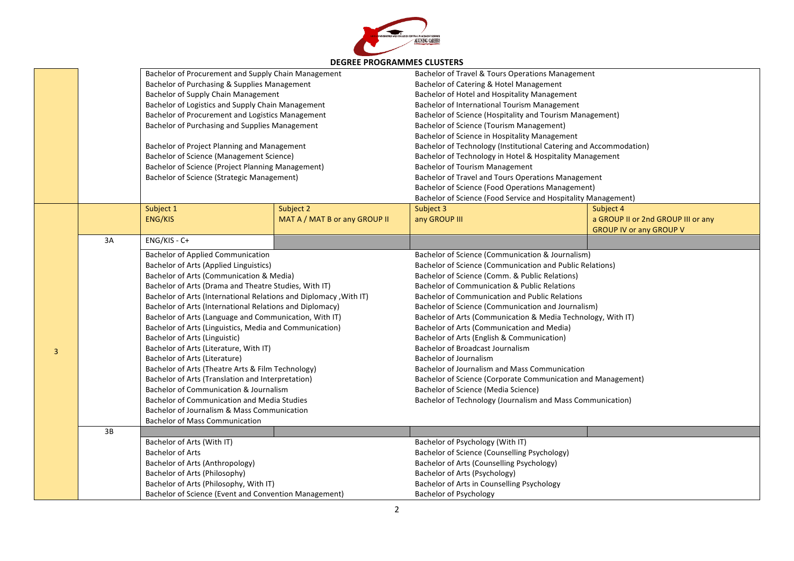

|                | DLUNLL FNOUNAIVIIVILJ CLUJ I LNJ |                                                                   |                               |                                                                   |                                    |  |
|----------------|----------------------------------|-------------------------------------------------------------------|-------------------------------|-------------------------------------------------------------------|------------------------------------|--|
|                |                                  | Bachelor of Procurement and Supply Chain Management               |                               | Bachelor of Travel & Tours Operations Management                  |                                    |  |
|                |                                  | Bachelor of Purchasing & Supplies Management                      |                               | Bachelor of Catering & Hotel Management                           |                                    |  |
|                |                                  | Bachelor of Supply Chain Management                               |                               | Bachelor of Hotel and Hospitality Management                      |                                    |  |
|                |                                  | Bachelor of Logistics and Supply Chain Management                 |                               | Bachelor of International Tourism Management                      |                                    |  |
|                |                                  | Bachelor of Procurement and Logistics Management                  |                               | Bachelor of Science (Hospitality and Tourism Management)          |                                    |  |
|                |                                  | Bachelor of Purchasing and Supplies Management                    |                               | <b>Bachelor of Science (Tourism Management)</b>                   |                                    |  |
|                |                                  |                                                                   |                               | Bachelor of Science in Hospitality Management                     |                                    |  |
|                |                                  | Bachelor of Project Planning and Management                       |                               | Bachelor of Technology (Institutional Catering and Accommodation) |                                    |  |
|                |                                  | Bachelor of Science (Management Science)                          |                               | Bachelor of Technology in Hotel & Hospitality Management          |                                    |  |
|                |                                  | Bachelor of Science (Project Planning Management)                 |                               | <b>Bachelor of Tourism Management</b>                             |                                    |  |
|                |                                  | <b>Bachelor of Science (Strategic Management)</b>                 |                               | Bachelor of Travel and Tours Operations Management                |                                    |  |
|                |                                  |                                                                   |                               | <b>Bachelor of Science (Food Operations Management)</b>           |                                    |  |
|                |                                  |                                                                   |                               | Bachelor of Science (Food Service and Hospitality Management)     |                                    |  |
|                |                                  | Subject 1                                                         | Subject 2                     | Subject 3                                                         | Subject 4                          |  |
|                |                                  | ENG/KIS                                                           | MAT A / MAT B or any GROUP II | any GROUP III                                                     | a GROUP II or 2nd GROUP III or any |  |
|                |                                  |                                                                   |                               |                                                                   | <b>GROUP IV or any GROUP V</b>     |  |
|                | 3A                               | ENG/KIS - C+                                                      |                               |                                                                   |                                    |  |
|                |                                  | <b>Bachelor of Applied Communication</b>                          |                               | Bachelor of Science (Communication & Journalism)                  |                                    |  |
|                |                                  | <b>Bachelor of Arts (Applied Linguistics)</b>                     |                               | Bachelor of Science (Communication and Public Relations)          |                                    |  |
|                |                                  | Bachelor of Arts (Communication & Media)                          |                               | Bachelor of Science (Comm. & Public Relations)                    |                                    |  |
|                |                                  | Bachelor of Arts (Drama and Theatre Studies, With IT)             |                               | <b>Bachelor of Communication &amp; Public Relations</b>           |                                    |  |
|                |                                  | Bachelor of Arts (International Relations and Diplomacy, With IT) |                               | <b>Bachelor of Communication and Public Relations</b>             |                                    |  |
|                |                                  | Bachelor of Arts (International Relations and Diplomacy)          |                               | Bachelor of Science (Communication and Journalism)                |                                    |  |
|                |                                  | Bachelor of Arts (Language and Communication, With IT)            |                               | Bachelor of Arts (Communication & Media Technology, With IT)      |                                    |  |
|                |                                  | Bachelor of Arts (Linguistics, Media and Communication)           |                               | Bachelor of Arts (Communication and Media)                        |                                    |  |
|                |                                  | Bachelor of Arts (Linguistic)                                     |                               | Bachelor of Arts (English & Communication)                        |                                    |  |
|                |                                  | Bachelor of Arts (Literature, With IT)                            |                               | <b>Bachelor of Broadcast Journalism</b>                           |                                    |  |
| $\overline{3}$ |                                  | Bachelor of Arts (Literature)                                     |                               | <b>Bachelor of Journalism</b>                                     |                                    |  |
|                |                                  | Bachelor of Arts (Theatre Arts & Film Technology)                 |                               | Bachelor of Journalism and Mass Communication                     |                                    |  |
|                |                                  | Bachelor of Arts (Translation and Interpretation)                 |                               | Bachelor of Science (Corporate Communication and Management)      |                                    |  |
|                |                                  | Bachelor of Communication & Journalism                            |                               | Bachelor of Science (Media Science)                               |                                    |  |
|                |                                  | <b>Bachelor of Communication and Media Studies</b>                |                               | Bachelor of Technology (Journalism and Mass Communication)        |                                    |  |
|                |                                  | Bachelor of Journalism & Mass Communication                       |                               |                                                                   |                                    |  |
|                |                                  | <b>Bachelor of Mass Communication</b>                             |                               |                                                                   |                                    |  |
|                | 3B                               |                                                                   |                               |                                                                   |                                    |  |
|                |                                  | Bachelor of Arts (With IT)                                        |                               | Bachelor of Psychology (With IT)                                  |                                    |  |
|                |                                  | <b>Bachelor of Arts</b>                                           |                               | Bachelor of Science (Counselling Psychology)                      |                                    |  |
|                |                                  | Bachelor of Arts (Anthropology)                                   |                               | Bachelor of Arts (Counselling Psychology)                         |                                    |  |
|                |                                  | Bachelor of Arts (Philosophy)                                     |                               | Bachelor of Arts (Psychology)                                     |                                    |  |
|                |                                  | Bachelor of Arts (Philosophy, With IT)                            |                               | Bachelor of Arts in Counselling Psychology                        |                                    |  |
|                |                                  | Bachelor of Science (Event and Convention Management)             |                               | <b>Bachelor of Psychology</b>                                     |                                    |  |
|                |                                  |                                                                   |                               |                                                                   |                                    |  |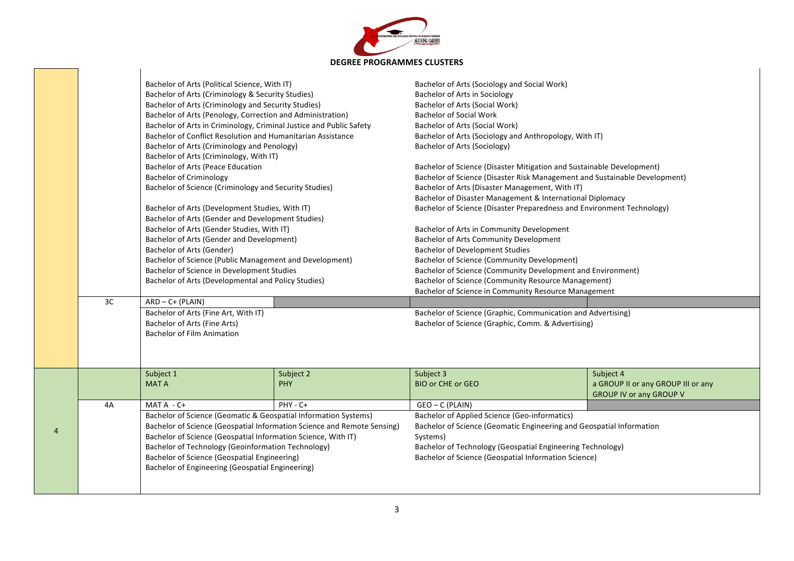

|   | 3C | Bachelor of Arts (Political Science, With IT)<br>Bachelor of Arts (Criminology & Security Studies)<br>Bachelor of Arts (Criminology and Security Studies)<br>Bachelor of Arts (Penology, Correction and Administration)<br>Bachelor of Arts in Criminology, Criminal Justice and Public Safety<br>Bachelor of Conflict Resolution and Humanitarian Assistance<br>Bachelor of Arts (Criminology and Penology)<br>Bachelor of Arts (Criminology, With IT)<br>Bachelor of Arts (Peace Education<br><b>Bachelor of Criminology</b><br>Bachelor of Science (Criminology and Security Studies)<br>Bachelor of Arts (Development Studies, With IT)<br>Bachelor of Arts (Gender and Development Studies)<br>Bachelor of Arts (Gender Studies, With IT)<br>Bachelor of Arts (Gender and Development)<br>Bachelor of Arts (Gender)<br>Bachelor of Science (Public Management and Development)<br>Bachelor of Science in Development Studies<br>Bachelor of Arts (Developmental and Policy Studies)<br>$ARD - C + (PLAIN)$<br>Bachelor of Arts (Fine Art, With IT)<br>Bachelor of Arts (Fine Arts)<br><b>Bachelor of Film Animation</b> |                         | Bachelor of Arts (Sociology and Social Work)<br>Bachelor of Arts in Sociology<br>Bachelor of Arts (Social Work)<br><b>Bachelor of Social Work</b><br>Bachelor of Arts (Social Work)<br>Bachelor of Arts (Sociology and Anthropology, With IT)<br>Bachelor of Arts (Sociology)<br>Bachelor of Science (Disaster Mitigation and Sustainable Development)<br>Bachelor of Science (Disaster Risk Management and Sustainable Development)<br>Bachelor of Arts (Disaster Management, With IT)<br>Bachelor of Disaster Management & International Diplomacy<br>Bachelor of Science (Disaster Preparedness and Environment Technology)<br>Bachelor of Arts in Community Development<br><b>Bachelor of Arts Community Development</b><br><b>Bachelor of Development Studies</b><br><b>Bachelor of Science (Community Development)</b><br>Bachelor of Science (Community Development and Environment)<br>Bachelor of Science (Community Resource Management)<br>Bachelor of Science in Community Resource Management<br>Bachelor of Science (Graphic, Communication and Advertising)<br>Bachelor of Science (Graphic, Comm. & Advertising) |                                                                                   |
|---|----|------------------------------------------------------------------------------------------------------------------------------------------------------------------------------------------------------------------------------------------------------------------------------------------------------------------------------------------------------------------------------------------------------------------------------------------------------------------------------------------------------------------------------------------------------------------------------------------------------------------------------------------------------------------------------------------------------------------------------------------------------------------------------------------------------------------------------------------------------------------------------------------------------------------------------------------------------------------------------------------------------------------------------------------------------------------------------------------------------------------------------|-------------------------|----------------------------------------------------------------------------------------------------------------------------------------------------------------------------------------------------------------------------------------------------------------------------------------------------------------------------------------------------------------------------------------------------------------------------------------------------------------------------------------------------------------------------------------------------------------------------------------------------------------------------------------------------------------------------------------------------------------------------------------------------------------------------------------------------------------------------------------------------------------------------------------------------------------------------------------------------------------------------------------------------------------------------------------------------------------------------------------------------------------------------------|-----------------------------------------------------------------------------------|
|   |    | Subject 1<br><b>MATA</b>                                                                                                                                                                                                                                                                                                                                                                                                                                                                                                                                                                                                                                                                                                                                                                                                                                                                                                                                                                                                                                                                                                     | Subject 2<br><b>PHY</b> | Subject 3<br><b>BIO or CHE or GEO</b>                                                                                                                                                                                                                                                                                                                                                                                                                                                                                                                                                                                                                                                                                                                                                                                                                                                                                                                                                                                                                                                                                            | Subject 4<br>a GROUP II or any GROUP III or any<br><b>GROUP IV or any GROUP V</b> |
|   | 4A | MAT A - C+                                                                                                                                                                                                                                                                                                                                                                                                                                                                                                                                                                                                                                                                                                                                                                                                                                                                                                                                                                                                                                                                                                                   | PHY - C+                | GEO - C (PLAIN)                                                                                                                                                                                                                                                                                                                                                                                                                                                                                                                                                                                                                                                                                                                                                                                                                                                                                                                                                                                                                                                                                                                  |                                                                                   |
|   |    | Bachelor of Science (Geomatic & Geospatial Information Systems)                                                                                                                                                                                                                                                                                                                                                                                                                                                                                                                                                                                                                                                                                                                                                                                                                                                                                                                                                                                                                                                              |                         | <b>Bachelor of Applied Science (Geo-informatics)</b>                                                                                                                                                                                                                                                                                                                                                                                                                                                                                                                                                                                                                                                                                                                                                                                                                                                                                                                                                                                                                                                                             |                                                                                   |
| 4 |    | Bachelor of Science (Geospatial Information Science and Remote Sensing)                                                                                                                                                                                                                                                                                                                                                                                                                                                                                                                                                                                                                                                                                                                                                                                                                                                                                                                                                                                                                                                      |                         | Bachelor of Science (Geomatic Engineering and Geospatial Information                                                                                                                                                                                                                                                                                                                                                                                                                                                                                                                                                                                                                                                                                                                                                                                                                                                                                                                                                                                                                                                             |                                                                                   |
|   |    | Bachelor of Science (Geospatial Information Science, With IT)<br>Bachelor of Technology (Geoinformation Technology)                                                                                                                                                                                                                                                                                                                                                                                                                                                                                                                                                                                                                                                                                                                                                                                                                                                                                                                                                                                                          |                         | Systems)<br>Bachelor of Technology (Geospatial Engineering Technology)                                                                                                                                                                                                                                                                                                                                                                                                                                                                                                                                                                                                                                                                                                                                                                                                                                                                                                                                                                                                                                                           |                                                                                   |
|   |    | <b>Bachelor of Science (Geospatial Engineering)</b>                                                                                                                                                                                                                                                                                                                                                                                                                                                                                                                                                                                                                                                                                                                                                                                                                                                                                                                                                                                                                                                                          |                         | Bachelor of Science (Geospatial Information Science)                                                                                                                                                                                                                                                                                                                                                                                                                                                                                                                                                                                                                                                                                                                                                                                                                                                                                                                                                                                                                                                                             |                                                                                   |
|   |    | Bachelor of Engineering (Geospatial Engineering)                                                                                                                                                                                                                                                                                                                                                                                                                                                                                                                                                                                                                                                                                                                                                                                                                                                                                                                                                                                                                                                                             |                         |                                                                                                                                                                                                                                                                                                                                                                                                                                                                                                                                                                                                                                                                                                                                                                                                                                                                                                                                                                                                                                                                                                                                  |                                                                                   |
|   |    |                                                                                                                                                                                                                                                                                                                                                                                                                                                                                                                                                                                                                                                                                                                                                                                                                                                                                                                                                                                                                                                                                                                              |                         |                                                                                                                                                                                                                                                                                                                                                                                                                                                                                                                                                                                                                                                                                                                                                                                                                                                                                                                                                                                                                                                                                                                                  |                                                                                   |
|   |    |                                                                                                                                                                                                                                                                                                                                                                                                                                                                                                                                                                                                                                                                                                                                                                                                                                                                                                                                                                                                                                                                                                                              |                         |                                                                                                                                                                                                                                                                                                                                                                                                                                                                                                                                                                                                                                                                                                                                                                                                                                                                                                                                                                                                                                                                                                                                  |                                                                                   |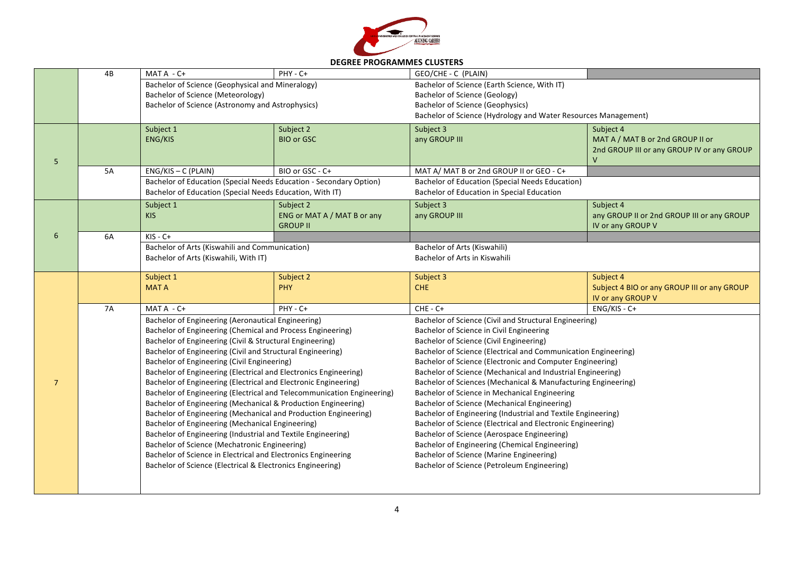

| <b>DEGREE PROGRAMMES CLUSTERS</b> |  |
|-----------------------------------|--|
|-----------------------------------|--|

|                | 4B                                                                                                                                                                                                                                               | MAT A - C+                                                                                                                                | PHY - C+                                                      | GEO/CHE - C (PLAIN)                                                                                                      |                                                                  |  |
|----------------|--------------------------------------------------------------------------------------------------------------------------------------------------------------------------------------------------------------------------------------------------|-------------------------------------------------------------------------------------------------------------------------------------------|---------------------------------------------------------------|--------------------------------------------------------------------------------------------------------------------------|------------------------------------------------------------------|--|
|                |                                                                                                                                                                                                                                                  | Bachelor of Science (Geophysical and Mineralogy)<br>Bachelor of Science (Meteorology)<br>Bachelor of Science (Astronomy and Astrophysics) |                                                               | Bachelor of Science (Earth Science, With IT)<br>Bachelor of Science (Geology)<br><b>Bachelor of Science (Geophysics)</b> |                                                                  |  |
|                |                                                                                                                                                                                                                                                  |                                                                                                                                           |                                                               | Bachelor of Science (Hydrology and Water Resources Management)                                                           |                                                                  |  |
|                |                                                                                                                                                                                                                                                  | Subject 1<br>ENG/KIS                                                                                                                      | Subject 2<br><b>BIO or GSC</b>                                | Subject 3<br>any GROUP III                                                                                               | Subject 4<br>MAT A / MAT B or 2nd GROUP II or                    |  |
| 5              |                                                                                                                                                                                                                                                  |                                                                                                                                           |                                                               |                                                                                                                          | 2nd GROUP III or any GROUP IV or any GROUP<br>V                  |  |
|                | <b>5A</b>                                                                                                                                                                                                                                        | $ENG/KIS - C$ (PLAIN)                                                                                                                     | BIO or GSC - C+                                               | MAT A/ MAT B or 2nd GROUP II or GEO - C+                                                                                 |                                                                  |  |
|                |                                                                                                                                                                                                                                                  | Bachelor of Education (Special Needs Education - Secondary Option)<br>Bachelor of Education (Special Needs Education, With IT)            |                                                               | <b>Bachelor of Education (Special Needs Education)</b><br><b>Bachelor of Education in Special Education</b>              |                                                                  |  |
|                |                                                                                                                                                                                                                                                  | Subject 1                                                                                                                                 | Subject 2                                                     | Subject 3                                                                                                                | Subject 4                                                        |  |
|                |                                                                                                                                                                                                                                                  | <b>KIS</b>                                                                                                                                | ENG or MAT A / MAT B or any<br><b>GROUP II</b>                | any GROUP III                                                                                                            | any GROUP II or 2nd GROUP III or any GROUP<br>IV or any GROUP V  |  |
| 6              | 6A                                                                                                                                                                                                                                               | $KIS - C+$                                                                                                                                |                                                               |                                                                                                                          |                                                                  |  |
|                |                                                                                                                                                                                                                                                  | Bachelor of Arts (Kiswahili and Communication)<br>Bachelor of Arts (Kiswahili, With IT)                                                   |                                                               | Bachelor of Arts (Kiswahili)<br>Bachelor of Arts in Kiswahili                                                            |                                                                  |  |
|                |                                                                                                                                                                                                                                                  | Subject 1                                                                                                                                 | Subject 2                                                     | Subject 3                                                                                                                | Subject 4                                                        |  |
|                |                                                                                                                                                                                                                                                  | <b>MATA</b>                                                                                                                               | <b>PHY</b>                                                    | <b>CHE</b>                                                                                                               | Subject 4 BIO or any GROUP III or any GROUP<br>IV or any GROUP V |  |
|                | <b>7A</b>                                                                                                                                                                                                                                        | MAT A - C+                                                                                                                                | PHY - C+                                                      | $CHE - C +$                                                                                                              | ENG/KIS - C+                                                     |  |
|                |                                                                                                                                                                                                                                                  | Bachelor of Engineering (Aeronautical Engineering)                                                                                        |                                                               | Bachelor of Science (Civil and Structural Engineering)                                                                   |                                                                  |  |
|                |                                                                                                                                                                                                                                                  | Bachelor of Engineering (Chemical and Process Engineering)                                                                                |                                                               | Bachelor of Science in Civil Engineering                                                                                 |                                                                  |  |
|                |                                                                                                                                                                                                                                                  | Bachelor of Engineering (Civil & Structural Engineering)                                                                                  |                                                               | Bachelor of Science (Civil Engineering)                                                                                  |                                                                  |  |
|                | Bachelor of Engineering (Civil and Structural Engineering)<br>Bachelor of Engineering (Civil Engineering)<br>Bachelor of Engineering (Electrical and Electronics Engineering)<br>Bachelor of Engineering (Electrical and Electronic Engineering) |                                                                                                                                           |                                                               | Bachelor of Science (Electrical and Communication Engineering)                                                           |                                                                  |  |
|                |                                                                                                                                                                                                                                                  |                                                                                                                                           |                                                               | Bachelor of Science (Electronic and Computer Engineering)<br>Bachelor of Science (Mechanical and Industrial Engineering) |                                                                  |  |
| $\overline{7}$ |                                                                                                                                                                                                                                                  |                                                                                                                                           | Bachelor of Sciences (Mechanical & Manufacturing Engineering) |                                                                                                                          |                                                                  |  |
|                |                                                                                                                                                                                                                                                  | Bachelor of Engineering (Electrical and Telecommunication Engineering)                                                                    |                                                               | Bachelor of Science in Mechanical Engineering                                                                            |                                                                  |  |
|                |                                                                                                                                                                                                                                                  | Bachelor of Engineering (Mechanical & Production Engineering)                                                                             |                                                               | Bachelor of Science (Mechanical Engineering)                                                                             |                                                                  |  |
|                |                                                                                                                                                                                                                                                  | Bachelor of Engineering (Mechanical and Production Engineering)                                                                           |                                                               | Bachelor of Engineering (Industrial and Textile Engineering)                                                             |                                                                  |  |
|                |                                                                                                                                                                                                                                                  | Bachelor of Engineering (Mechanical Engineering)                                                                                          |                                                               | Bachelor of Science (Electrical and Electronic Engineering)                                                              |                                                                  |  |
|                |                                                                                                                                                                                                                                                  | Bachelor of Engineering (Industrial and Textile Engineering)                                                                              |                                                               | Bachelor of Science (Aerospace Engineering)                                                                              |                                                                  |  |
|                |                                                                                                                                                                                                                                                  | Bachelor of Science (Mechatronic Engineering)                                                                                             |                                                               | Bachelor of Engineering (Chemical Engineering)                                                                           |                                                                  |  |
|                |                                                                                                                                                                                                                                                  | Bachelor of Science in Electrical and Electronics Engineering                                                                             |                                                               | Bachelor of Science (Marine Engineering)                                                                                 |                                                                  |  |
|                |                                                                                                                                                                                                                                                  | Bachelor of Science (Electrical & Electronics Engineering)                                                                                |                                                               | Bachelor of Science (Petroleum Engineering)                                                                              |                                                                  |  |
|                |                                                                                                                                                                                                                                                  |                                                                                                                                           |                                                               |                                                                                                                          |                                                                  |  |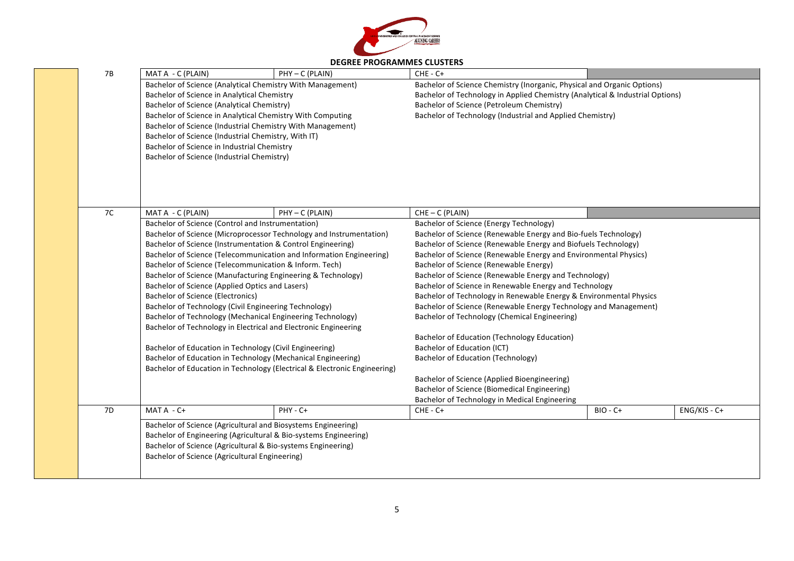

|                |                                                                                                                                                                                                                                                              |                                                                                                                                                                                                   | DEGREE PROGRAMINIES CLOSIERS                                                                                                                                                                                                                                       |                                        |                |  |
|----------------|--------------------------------------------------------------------------------------------------------------------------------------------------------------------------------------------------------------------------------------------------------------|---------------------------------------------------------------------------------------------------------------------------------------------------------------------------------------------------|--------------------------------------------------------------------------------------------------------------------------------------------------------------------------------------------------------------------------------------------------------------------|----------------------------------------|----------------|--|
| 7B             | MAT A - C (PLAIN)                                                                                                                                                                                                                                            | PHY - C (PLAIN)                                                                                                                                                                                   | $CHE - C +$                                                                                                                                                                                                                                                        |                                        |                |  |
|                | Bachelor of Science in Analytical Chemistry<br>Bachelor of Science (Analytical Chemistry)<br>Bachelor of Science (Industrial Chemistry, With IT)<br>Bachelor of Science in Industrial Chemistry<br>Bachelor of Science (Industrial Chemistry)                | Bachelor of Science (Analytical Chemistry With Management)<br>Bachelor of Science in Analytical Chemistry With Computing<br>Bachelor of Science (Industrial Chemistry With Management)            | Bachelor of Science Chemistry (Inorganic, Physical and Organic Options)<br>Bachelor of Technology in Applied Chemistry (Analytical & Industrial Options)<br>Bachelor of Science (Petroleum Chemistry)<br>Bachelor of Technology (Industrial and Applied Chemistry) |                                        |                |  |
| 7C             | MAT A - C (PLAIN)                                                                                                                                                                                                                                            | PHY - C (PLAIN)                                                                                                                                                                                   | $CHE - C (PLAIN)$                                                                                                                                                                                                                                                  |                                        |                |  |
|                | Bachelor of Science (Control and Instrumentation)                                                                                                                                                                                                            |                                                                                                                                                                                                   | Bachelor of Science (Energy Technology)                                                                                                                                                                                                                            |                                        |                |  |
|                |                                                                                                                                                                                                                                                              | Bachelor of Science (Microprocessor Technology and Instrumentation)                                                                                                                               | Bachelor of Science (Renewable Energy and Bio-fuels Technology)                                                                                                                                                                                                    |                                        |                |  |
|                | Bachelor of Science (Instrumentation & Control Engineering)<br>Bachelor of Science (Telecommunication and Information Engineering)<br>Bachelor of Science (Telecommunication & Inform. Tech)<br>Bachelor of Science (Manufacturing Engineering & Technology) |                                                                                                                                                                                                   | Bachelor of Science (Renewable Energy and Biofuels Technology)                                                                                                                                                                                                     |                                        |                |  |
|                |                                                                                                                                                                                                                                                              |                                                                                                                                                                                                   | Bachelor of Science (Renewable Energy and Environmental Physics)                                                                                                                                                                                                   |                                        |                |  |
|                |                                                                                                                                                                                                                                                              |                                                                                                                                                                                                   |                                                                                                                                                                                                                                                                    | Bachelor of Science (Renewable Energy) |                |  |
|                |                                                                                                                                                                                                                                                              |                                                                                                                                                                                                   | Bachelor of Science (Renewable Energy and Technology)                                                                                                                                                                                                              |                                        |                |  |
|                | Bachelor of Science (Applied Optics and Lasers)                                                                                                                                                                                                              |                                                                                                                                                                                                   | Bachelor of Science in Renewable Energy and Technology<br>Bachelor of Technology in Renewable Energy & Environmental Physics<br>Bachelor of Science (Renewable Energy Technology and Management)                                                                   |                                        |                |  |
|                | <b>Bachelor of Science (Electronics)</b>                                                                                                                                                                                                                     |                                                                                                                                                                                                   |                                                                                                                                                                                                                                                                    |                                        |                |  |
|                | Bachelor of Technology (Civil Engineering Technology)                                                                                                                                                                                                        |                                                                                                                                                                                                   |                                                                                                                                                                                                                                                                    |                                        |                |  |
|                |                                                                                                                                                                                                                                                              | Bachelor of Technology (Mechanical Engineering Technology)<br>Bachelor of Technology in Electrical and Electronic Engineering                                                                     | Bachelor of Technology (Chemical Engineering)                                                                                                                                                                                                                      |                                        |                |  |
|                |                                                                                                                                                                                                                                                              |                                                                                                                                                                                                   | Bachelor of Education (Technology Education)                                                                                                                                                                                                                       |                                        |                |  |
|                | Bachelor of Education in Technology (Civil Engineering)                                                                                                                                                                                                      |                                                                                                                                                                                                   | <b>Bachelor of Education (ICT)</b>                                                                                                                                                                                                                                 |                                        |                |  |
|                |                                                                                                                                                                                                                                                              | Bachelor of Education in Technology (Mechanical Engineering)<br>Bachelor of Education in Technology (Electrical & Electronic Engineering)                                                         | <b>Bachelor of Education (Technology)</b>                                                                                                                                                                                                                          |                                        |                |  |
|                |                                                                                                                                                                                                                                                              |                                                                                                                                                                                                   | Bachelor of Science (Applied Bioengineering)                                                                                                                                                                                                                       |                                        |                |  |
|                |                                                                                                                                                                                                                                                              |                                                                                                                                                                                                   | Bachelor of Science (Biomedical Engineering)                                                                                                                                                                                                                       |                                        |                |  |
|                |                                                                                                                                                                                                                                                              |                                                                                                                                                                                                   | Bachelor of Technology in Medical Engineering                                                                                                                                                                                                                      |                                        |                |  |
| 7 <sub>D</sub> | $MATA - C +$                                                                                                                                                                                                                                                 | PHY - C+                                                                                                                                                                                          | $CHE - C +$                                                                                                                                                                                                                                                        | BIO - C+                               | $ENG/KIS - C+$ |  |
|                | Bachelor of Science (Agricultural Engineering)                                                                                                                                                                                                               | Bachelor of Science (Agricultural and Biosystems Engineering)<br>Bachelor of Engineering (Agricultural & Bio-systems Engineering)<br>Bachelor of Science (Agricultural & Bio-systems Engineering) |                                                                                                                                                                                                                                                                    |                                        |                |  |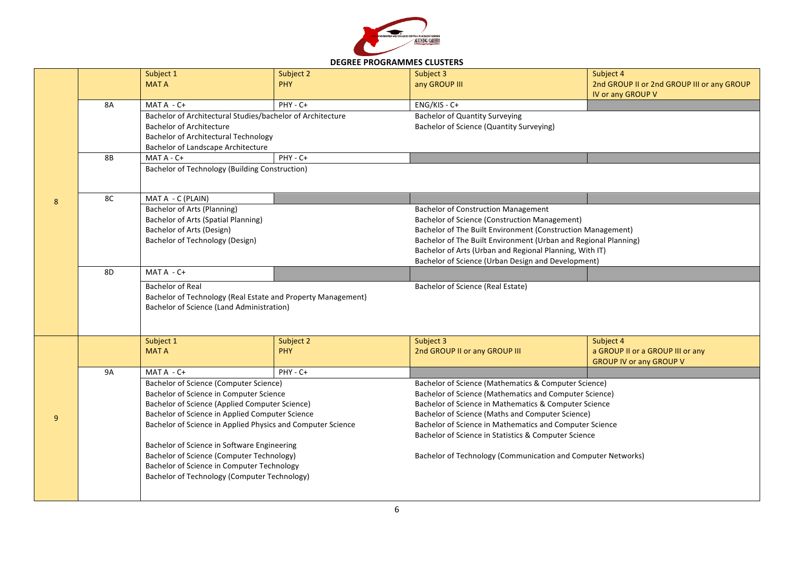

## **DEGREE PROGRAMMES CLUSTERS**

|                |           | Subject 1                                                    | Subject 2  | Subject 3                                                       | Subject 4                                  |  |
|----------------|-----------|--------------------------------------------------------------|------------|-----------------------------------------------------------------|--------------------------------------------|--|
|                |           | <b>MATA</b>                                                  | <b>PHY</b> | any GROUP III                                                   | 2nd GROUP II or 2nd GROUP III or any GROUP |  |
|                |           |                                                              |            |                                                                 | IV or any GROUP V                          |  |
|                | 8A        | MAT A - C+                                                   | PHY - C+   | $ENG/KIS - C+$                                                  |                                            |  |
|                |           | Bachelor of Architectural Studies/bachelor of Architecture   |            | <b>Bachelor of Quantity Surveying</b>                           |                                            |  |
|                |           | <b>Bachelor of Architecture</b>                              |            | Bachelor of Science (Quantity Surveying)                        |                                            |  |
|                |           | <b>Bachelor of Architectural Technology</b>                  |            |                                                                 |                                            |  |
|                |           | <b>Bachelor of Landscape Architecture</b>                    |            |                                                                 |                                            |  |
|                | <b>8B</b> | MAT A - C+                                                   | PHY - C+   |                                                                 |                                            |  |
|                |           | <b>Bachelor of Technology (Building Construction)</b>        |            |                                                                 |                                            |  |
|                |           |                                                              |            |                                                                 |                                            |  |
|                |           |                                                              |            |                                                                 |                                            |  |
| 8              | 8C        | MAT A - C (PLAIN)                                            |            |                                                                 |                                            |  |
|                |           | Bachelor of Arts (Planning)                                  |            | <b>Bachelor of Construction Management</b>                      |                                            |  |
|                |           | <b>Bachelor of Arts (Spatial Planning)</b>                   |            | <b>Bachelor of Science (Construction Management)</b>            |                                            |  |
|                |           | Bachelor of Arts (Design)                                    |            | Bachelor of The Built Environment (Construction Management)     |                                            |  |
|                |           | Bachelor of Technology (Design)                              |            | Bachelor of The Built Environment (Urban and Regional Planning) |                                            |  |
|                |           |                                                              |            | Bachelor of Arts (Urban and Regional Planning, With IT)         |                                            |  |
|                |           |                                                              |            | Bachelor of Science (Urban Design and Development)              |                                            |  |
|                | 8D        | $MATA - C +$                                                 |            |                                                                 |                                            |  |
|                |           | <b>Bachelor of Real</b>                                      |            | Bachelor of Science (Real Estate)                               |                                            |  |
|                |           | Bachelor of Technology (Real Estate and Property Management) |            |                                                                 |                                            |  |
|                |           | Bachelor of Science (Land Administration)                    |            |                                                                 |                                            |  |
|                |           |                                                              |            |                                                                 |                                            |  |
|                |           |                                                              |            |                                                                 |                                            |  |
|                |           | Subject 1                                                    | Subject 2  | Subject 3                                                       | Subject 4                                  |  |
|                |           | <b>MATA</b>                                                  | <b>PHY</b> | 2nd GROUP II or any GROUP III                                   | a GROUP II or a GROUP III or any           |  |
|                |           |                                                              |            |                                                                 | <b>GROUP IV or any GROUP V</b>             |  |
|                | <b>9A</b> | $MATA - C +$                                                 | PHY - C+   |                                                                 |                                            |  |
|                |           | Bachelor of Science (Computer Science)                       |            | Bachelor of Science (Mathematics & Computer Science)            |                                            |  |
|                |           | Bachelor of Science in Computer Science                      |            | Bachelor of Science (Mathematics and Computer Science)          |                                            |  |
|                |           | Bachelor of Science (Applied Computer Science)               |            | Bachelor of Science in Mathematics & Computer Science           |                                            |  |
| $\overline{9}$ |           | Bachelor of Science in Applied Computer Science              |            | Bachelor of Science (Maths and Computer Science)                |                                            |  |
|                |           | Bachelor of Science in Applied Physics and Computer Science  |            | Bachelor of Science in Mathematics and Computer Science         |                                            |  |
|                |           |                                                              |            | Bachelor of Science in Statistics & Computer Science            |                                            |  |
|                |           | Bachelor of Science in Software Engineering                  |            |                                                                 |                                            |  |
|                |           | <b>Bachelor of Science (Computer Technology)</b>             |            | Bachelor of Technology (Communication and Computer Networks)    |                                            |  |
|                |           | Bachelor of Science in Computer Technology                   |            |                                                                 |                                            |  |
|                |           | Bachelor of Technology (Computer Technology)                 |            |                                                                 |                                            |  |
|                |           |                                                              |            |                                                                 |                                            |  |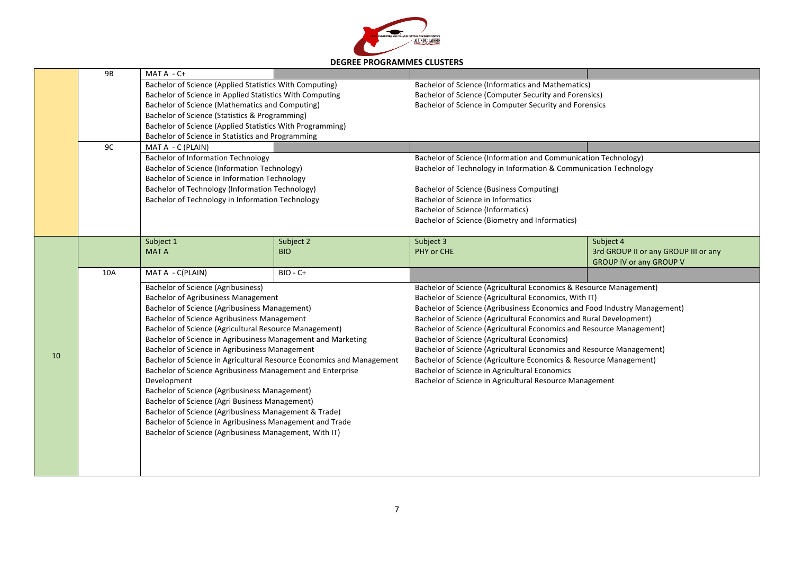

|    | <b>9B</b>               | MAT A - C+                                                                                                                                                       |            |                                                                           |                                                                    |  |
|----|-------------------------|------------------------------------------------------------------------------------------------------------------------------------------------------------------|------------|---------------------------------------------------------------------------|--------------------------------------------------------------------|--|
|    |                         | Bachelor of Science (Applied Statistics With Computing)                                                                                                          |            | <b>Bachelor of Science (Informatics and Mathematics)</b>                  |                                                                    |  |
|    |                         | Bachelor of Science in Applied Statistics With Computing                                                                                                         |            | Bachelor of Science (Computer Security and Forensics)                     |                                                                    |  |
|    |                         | Bachelor of Science (Mathematics and Computing)                                                                                                                  |            | Bachelor of Science in Computer Security and Forensics                    |                                                                    |  |
|    |                         | Bachelor of Science (Statistics & Programming)<br>Bachelor of Science (Applied Statistics With Programming)<br>Bachelor of Science in Statistics and Programming |            |                                                                           |                                                                    |  |
|    |                         |                                                                                                                                                                  |            |                                                                           |                                                                    |  |
|    |                         |                                                                                                                                                                  |            |                                                                           |                                                                    |  |
|    | 9C<br>MAT A - C (PLAIN) |                                                                                                                                                                  |            |                                                                           |                                                                    |  |
|    |                         | <b>Bachelor of Information Technology</b>                                                                                                                        |            | Bachelor of Science (Information and Communication Technology)            |                                                                    |  |
|    |                         | <b>Bachelor of Science (Information Technology)</b>                                                                                                              |            | Bachelor of Technology in Information & Communication Technology          |                                                                    |  |
|    |                         | Bachelor of Science in Information Technology                                                                                                                    |            |                                                                           |                                                                    |  |
|    |                         | Bachelor of Technology (Information Technology)                                                                                                                  |            | Bachelor of Science (Business Computing)                                  |                                                                    |  |
|    |                         | Bachelor of Technology in Information Technology                                                                                                                 |            | Bachelor of Science in Informatics                                        |                                                                    |  |
|    |                         |                                                                                                                                                                  |            | <b>Bachelor of Science (Informatics)</b>                                  |                                                                    |  |
|    |                         |                                                                                                                                                                  |            | Bachelor of Science (Biometry and Informatics)                            |                                                                    |  |
|    |                         |                                                                                                                                                                  |            |                                                                           |                                                                    |  |
|    |                         | Subject 1                                                                                                                                                        | Subject 2  | Subject 3                                                                 | Subject 4                                                          |  |
|    |                         | <b>MATA</b>                                                                                                                                                      | <b>BIO</b> | PHY or CHE                                                                | 3rd GROUP II or any GROUP III or any                               |  |
|    |                         |                                                                                                                                                                  |            |                                                                           | <b>GROUP IV or any GROUP V</b>                                     |  |
|    | 10A                     | MAT A - C(PLAIN)                                                                                                                                                 | $BIO - C+$ |                                                                           |                                                                    |  |
|    |                         | <b>Bachelor of Science (Agribusiness)</b>                                                                                                                        |            | Bachelor of Science (Agricultural Economics & Resource Management)        |                                                                    |  |
|    |                         | <b>Bachelor of Agribusiness Management</b>                                                                                                                       |            | Bachelor of Science (Agricultural Economics, With IT)                     |                                                                    |  |
|    |                         | <b>Bachelor of Science (Agribusiness Management)</b>                                                                                                             |            | Bachelor of Science (Agribusiness Economics and Food Industry Management) |                                                                    |  |
|    |                         |                                                                                                                                                                  |            |                                                                           | Bachelor of Science (Agricultural Economics and Rural Development) |  |
|    |                         | Bachelor of Science Agribusiness Management                                                                                                                      |            |                                                                           |                                                                    |  |
|    |                         | Bachelor of Science (Agricultural Resource Management)                                                                                                           |            | Bachelor of Science (Agricultural Economics and Resource Management)      |                                                                    |  |
|    |                         | Bachelor of Science in Agribusiness Management and Marketing                                                                                                     |            | <b>Bachelor of Science (Agricultural Economics)</b>                       |                                                                    |  |
|    |                         | Bachelor of Science in Agribusiness Management                                                                                                                   |            | Bachelor of Science (Agricultural Economics and Resource Management)      |                                                                    |  |
| 10 |                         | Bachelor of Science in Agricultural Resource Economics and Management                                                                                            |            | Bachelor of Science (Agriculture Economics & Resource Management)         |                                                                    |  |
|    |                         | Bachelor of Science Agribusiness Management and Enterprise                                                                                                       |            | Bachelor of Science in Agricultural Economics                             |                                                                    |  |
|    |                         | Development                                                                                                                                                      |            | Bachelor of Science in Agricultural Resource Management                   |                                                                    |  |
|    |                         | <b>Bachelor of Science (Agribusiness Management)</b>                                                                                                             |            |                                                                           |                                                                    |  |
|    |                         | Bachelor of Science (Agri Business Management)                                                                                                                   |            |                                                                           |                                                                    |  |
|    |                         | Bachelor of Science (Agribusiness Management & Trade)                                                                                                            |            |                                                                           |                                                                    |  |
|    |                         | Bachelor of Science in Agribusiness Management and Trade                                                                                                         |            |                                                                           |                                                                    |  |
|    |                         | Bachelor of Science (Agribusiness Management, With IT)                                                                                                           |            |                                                                           |                                                                    |  |
|    |                         |                                                                                                                                                                  |            |                                                                           |                                                                    |  |
|    |                         |                                                                                                                                                                  |            |                                                                           |                                                                    |  |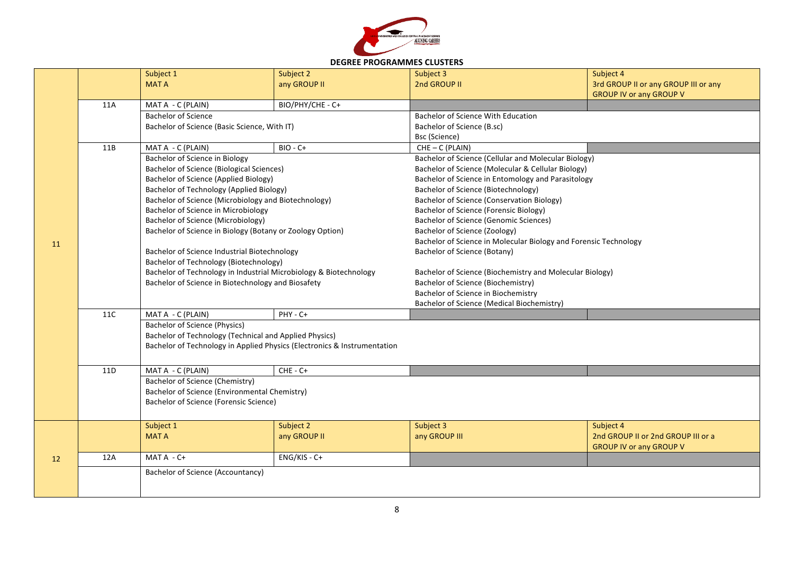

## **DEGREE PROGRAMMES CLUSTERS**

|    |                                                                   | Subject 1                                                                | Subject 2                                                | Subject 3                                                        | Subject 4                            |  |
|----|-------------------------------------------------------------------|--------------------------------------------------------------------------|----------------------------------------------------------|------------------------------------------------------------------|--------------------------------------|--|
|    |                                                                   | <b>MATA</b>                                                              | any GROUP II                                             | 2nd GROUP II                                                     | 3rd GROUP II or any GROUP III or any |  |
|    |                                                                   |                                                                          |                                                          |                                                                  | <b>GROUP IV or any GROUP V</b>       |  |
|    | 11A                                                               | MAT A - C (PLAIN)                                                        | BIO/PHY/CHE - C+                                         |                                                                  |                                      |  |
|    |                                                                   | <b>Bachelor of Science</b>                                               |                                                          | <b>Bachelor of Science With Education</b>                        |                                      |  |
|    |                                                                   | Bachelor of Science (Basic Science, With IT)                             |                                                          | Bachelor of Science (B.sc)                                       |                                      |  |
|    |                                                                   |                                                                          |                                                          | Bsc (Science)                                                    |                                      |  |
|    | 11B                                                               | MAT A - C (PLAIN)                                                        | BIO - C+                                                 | $CHE - C (PLAIN)$                                                |                                      |  |
|    |                                                                   | Bachelor of Science in Biology                                           |                                                          | Bachelor of Science (Cellular and Molecular Biology)             |                                      |  |
|    |                                                                   | <b>Bachelor of Science (Biological Sciences)</b>                         |                                                          | Bachelor of Science (Molecular & Cellular Biology)               |                                      |  |
|    |                                                                   | <b>Bachelor of Science (Applied Biology)</b>                             |                                                          | Bachelor of Science in Entomology and Parasitology               |                                      |  |
|    |                                                                   | <b>Bachelor of Technology (Applied Biology)</b>                          |                                                          | Bachelor of Science (Biotechnology)                              |                                      |  |
|    |                                                                   | Bachelor of Science (Microbiology and Biotechnology)                     |                                                          | Bachelor of Science (Conservation Biology)                       |                                      |  |
|    |                                                                   | Bachelor of Science in Microbiology                                      |                                                          | Bachelor of Science (Forensic Biology)                           |                                      |  |
|    |                                                                   | <b>Bachelor of Science (Microbiology)</b>                                |                                                          | <b>Bachelor of Science (Genomic Sciences)</b>                    |                                      |  |
|    |                                                                   | Bachelor of Science in Biology (Botany or Zoology Option)                |                                                          | Bachelor of Science (Zoology)                                    |                                      |  |
| 11 | Bachelor of Science Industrial Biotechnology                      |                                                                          |                                                          | Bachelor of Science in Molecular Biology and Forensic Technology |                                      |  |
|    |                                                                   |                                                                          |                                                          | Bachelor of Science (Botany)                                     |                                      |  |
|    |                                                                   | Bachelor of Technology (Biotechnology)                                   |                                                          |                                                                  |                                      |  |
|    | Bachelor of Technology in Industrial Microbiology & Biotechnology |                                                                          | Bachelor of Science (Biochemistry and Molecular Biology) |                                                                  |                                      |  |
|    |                                                                   | Bachelor of Science in Biotechnology and Biosafety                       |                                                          | Bachelor of Science (Biochemistry)                               |                                      |  |
|    |                                                                   |                                                                          |                                                          | Bachelor of Science in Biochemistry                              |                                      |  |
|    |                                                                   |                                                                          |                                                          | <b>Bachelor of Science (Medical Biochemistry)</b>                |                                      |  |
|    | <b>11C</b>                                                        | MAT A - C (PLAIN)                                                        | $PHY - C +$                                              |                                                                  |                                      |  |
|    |                                                                   | <b>Bachelor of Science (Physics)</b>                                     |                                                          |                                                                  |                                      |  |
|    |                                                                   | Bachelor of Technology (Technical and Applied Physics)                   |                                                          |                                                                  |                                      |  |
|    |                                                                   | Bachelor of Technology in Applied Physics (Electronics & Instrumentation |                                                          |                                                                  |                                      |  |
|    |                                                                   |                                                                          |                                                          |                                                                  |                                      |  |
|    | 11D                                                               | MAT A - C (PLAIN)                                                        | $CHE - C +$                                              |                                                                  |                                      |  |
|    |                                                                   | Bachelor of Science (Chemistry)                                          |                                                          |                                                                  |                                      |  |
|    |                                                                   | <b>Bachelor of Science (Environmental Chemistry)</b>                     |                                                          |                                                                  |                                      |  |
|    |                                                                   | Bachelor of Science (Forensic Science)                                   |                                                          |                                                                  |                                      |  |
|    |                                                                   |                                                                          |                                                          |                                                                  |                                      |  |
|    |                                                                   | Subject 1                                                                | Subject 2                                                | Subject 3                                                        | Subject 4                            |  |
|    |                                                                   | <b>MAT A</b>                                                             | any GROUP II                                             | any GROUP III                                                    | 2nd GROUP II or 2nd GROUP III or a   |  |
|    | 12A                                                               | $MATA - C +$                                                             | ENG/KIS - C+                                             |                                                                  | <b>GROUP IV or any GROUP V</b>       |  |
| 12 |                                                                   |                                                                          |                                                          |                                                                  |                                      |  |
|    |                                                                   | Bachelor of Science (Accountancy)                                        |                                                          |                                                                  |                                      |  |
|    |                                                                   |                                                                          |                                                          |                                                                  |                                      |  |
|    |                                                                   |                                                                          |                                                          |                                                                  |                                      |  |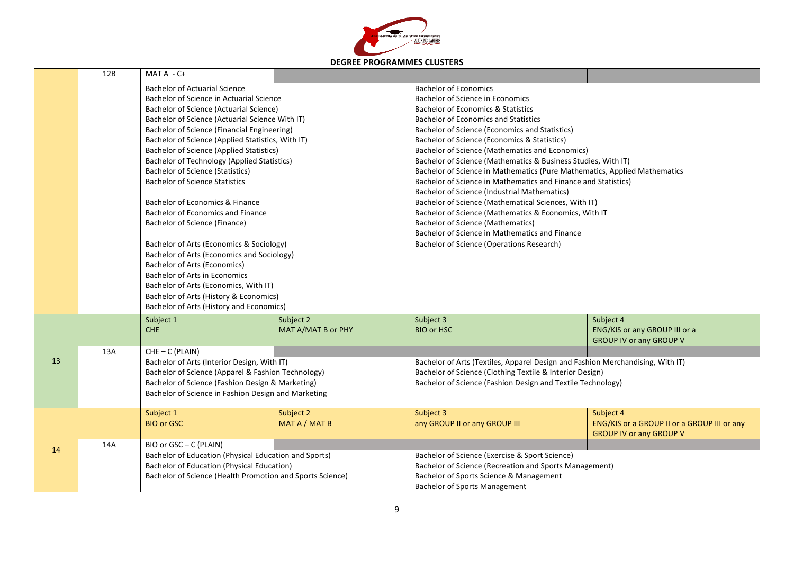

|    | 12B | MAT A - C+                                                                                                                    |                    |                                                                                   |                                             |  |
|----|-----|-------------------------------------------------------------------------------------------------------------------------------|--------------------|-----------------------------------------------------------------------------------|---------------------------------------------|--|
|    |     | <b>Bachelor of Actuarial Science</b>                                                                                          |                    | <b>Bachelor of Economics</b>                                                      |                                             |  |
|    |     | Bachelor of Science in Actuarial Science                                                                                      |                    | Bachelor of Science in Economics<br><b>Bachelor of Economics &amp; Statistics</b> |                                             |  |
|    |     | Bachelor of Science (Actuarial Science)                                                                                       |                    |                                                                                   |                                             |  |
|    |     | Bachelor of Science (Actuarial Science With IT)<br><b>Bachelor of Science (Financial Engineering)</b>                         |                    | <b>Bachelor of Economics and Statistics</b>                                       |                                             |  |
|    |     |                                                                                                                               |                    | Bachelor of Science (Economics and Statistics)                                    |                                             |  |
|    |     | Bachelor of Science (Applied Statistics, With IT)                                                                             |                    | Bachelor of Science (Economics & Statistics)                                      |                                             |  |
|    |     | <b>Bachelor of Science (Applied Statistics)</b>                                                                               |                    | <b>Bachelor of Science (Mathematics and Economics)</b>                            |                                             |  |
|    |     | <b>Bachelor of Technology (Applied Statistics)</b>                                                                            |                    | Bachelor of Science (Mathematics & Business Studies, With IT)                     |                                             |  |
|    |     | <b>Bachelor of Science (Statistics)</b>                                                                                       |                    | Bachelor of Science in Mathematics (Pure Mathematics, Applied Mathematics         |                                             |  |
|    |     | <b>Bachelor of Science Statistics</b>                                                                                         |                    | Bachelor of Science in Mathematics and Finance and Statistics)                    |                                             |  |
|    |     |                                                                                                                               |                    | <b>Bachelor of Science (Industrial Mathematics)</b>                               |                                             |  |
|    |     | Bachelor of Economics & Finance                                                                                               |                    | Bachelor of Science (Mathematical Sciences, With IT)                              |                                             |  |
|    |     | Bachelor of Economics and Finance                                                                                             |                    | Bachelor of Science (Mathematics & Economics, With IT                             |                                             |  |
|    |     | Bachelor of Science (Finance)                                                                                                 |                    | <b>Bachelor of Science (Mathematics)</b>                                          |                                             |  |
|    |     | Bachelor of Arts (Economics & Sociology)<br>Bachelor of Arts (Economics and Sociology)<br><b>Bachelor of Arts (Economics)</b> |                    | Bachelor of Science in Mathematics and Finance                                    |                                             |  |
|    |     |                                                                                                                               |                    | Bachelor of Science (Operations Research)                                         |                                             |  |
|    |     |                                                                                                                               |                    |                                                                                   |                                             |  |
|    |     |                                                                                                                               |                    |                                                                                   |                                             |  |
|    |     | <b>Bachelor of Arts in Economics</b>                                                                                          |                    |                                                                                   |                                             |  |
|    |     | Bachelor of Arts (Economics, With IT)                                                                                         |                    |                                                                                   |                                             |  |
|    |     | Bachelor of Arts (History & Economics)                                                                                        |                    |                                                                                   |                                             |  |
|    |     | Bachelor of Arts (History and Economics)                                                                                      |                    |                                                                                   |                                             |  |
|    |     | Subject 1                                                                                                                     | Subject 2          | Subject 3                                                                         | Subject 4                                   |  |
|    |     | <b>CHE</b>                                                                                                                    | MAT A/MAT B or PHY | <b>BIO or HSC</b>                                                                 | ENG/KIS or any GROUP III or a               |  |
|    |     |                                                                                                                               |                    |                                                                                   | <b>GROUP IV or any GROUP V</b>              |  |
|    | 13A | CHE-C (PLAIN)                                                                                                                 |                    |                                                                                   |                                             |  |
| 13 |     | Bachelor of Arts (Interior Design, With IT)                                                                                   |                    | Bachelor of Arts (Textiles, Apparel Design and Fashion Merchandising, With IT)    |                                             |  |
|    |     | Bachelor of Science (Apparel & Fashion Technology)                                                                            |                    | Bachelor of Science (Clothing Textile & Interior Design)                          |                                             |  |
|    |     | Bachelor of Science (Fashion Design & Marketing)                                                                              |                    | Bachelor of Science (Fashion Design and Textile Technology)                       |                                             |  |
|    |     | Bachelor of Science in Fashion Design and Marketing                                                                           |                    |                                                                                   |                                             |  |
|    |     | Subject 1                                                                                                                     | Subject 2          | Subject 3                                                                         | Subject 4                                   |  |
|    |     | <b>BIO or GSC</b>                                                                                                             | MAT A / MAT B      | any GROUP II or any GROUP III                                                     | ENG/KIS or a GROUP II or a GROUP III or any |  |
|    |     |                                                                                                                               |                    |                                                                                   | <b>GROUP IV or any GROUP V</b>              |  |
| 14 | 14A | BIO or GSC - C (PLAIN)                                                                                                        |                    |                                                                                   |                                             |  |
|    |     | Bachelor of Education (Physical Education and Sports)                                                                         |                    | Bachelor of Science (Exercise & Sport Science)                                    |                                             |  |
|    |     | <b>Bachelor of Education (Physical Education)</b>                                                                             |                    | Bachelor of Science (Recreation and Sports Management)                            |                                             |  |
|    |     | Bachelor of Science (Health Promotion and Sports Science)                                                                     |                    | Bachelor of Sports Science & Management                                           |                                             |  |
|    |     |                                                                                                                               |                    | <b>Bachelor of Sports Management</b>                                              |                                             |  |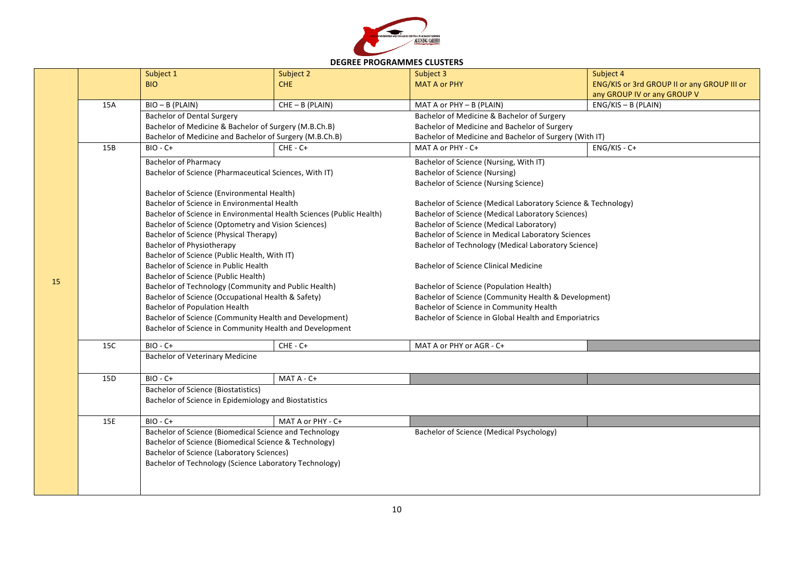

| <b>DEGREE PROGRAMMES CLUSTERS</b> |  |
|-----------------------------------|--|
|-----------------------------------|--|

|    |                                                                                                | Subject 1                                                            | Subject 2         | Subject 3                                                                                        | Subject 4                                   |  |
|----|------------------------------------------------------------------------------------------------|----------------------------------------------------------------------|-------------------|--------------------------------------------------------------------------------------------------|---------------------------------------------|--|
|    |                                                                                                | <b>BIO</b>                                                           | <b>CHE</b>        | <b>MAT A or PHY</b>                                                                              | ENG/KIS or 3rd GROUP II or any GROUP III or |  |
|    |                                                                                                |                                                                      |                   |                                                                                                  | any GROUP IV or any GROUP V                 |  |
|    | 15A                                                                                            | $BIO - B (PLAIN)$                                                    | $CHE - B (PLAIN)$ | MAT A or PHY - B (PLAIN)                                                                         | $ENG/KIS - B$ (PLAIN)                       |  |
|    |                                                                                                | <b>Bachelor of Dental Surgery</b>                                    |                   | Bachelor of Medicine & Bachelor of Surgery                                                       |                                             |  |
|    |                                                                                                | Bachelor of Medicine & Bachelor of Surgery (M.B.Ch.B)                |                   | Bachelor of Medicine and Bachelor of Surgery                                                     |                                             |  |
|    |                                                                                                | Bachelor of Medicine and Bachelor of Surgery (M.B.Ch.B)              |                   | Bachelor of Medicine and Bachelor of Surgery (With IT)                                           |                                             |  |
|    | 15B                                                                                            | $BIO - C+$                                                           | $CHE - C +$       | MAT A or PHY - C+                                                                                | $ENG/KIS - C+$                              |  |
|    |                                                                                                | <b>Bachelor of Pharmacy</b>                                          |                   | Bachelor of Science (Nursing, With IT)                                                           |                                             |  |
|    |                                                                                                | Bachelor of Science (Pharmaceutical Sciences, With IT)               |                   | <b>Bachelor of Science (Nursing)</b>                                                             |                                             |  |
|    |                                                                                                |                                                                      |                   | Bachelor of Science (Nursing Science)                                                            |                                             |  |
|    |                                                                                                | Bachelor of Science (Environmental Health)                           |                   |                                                                                                  |                                             |  |
|    |                                                                                                | Bachelor of Science in Environmental Health                          |                   | Bachelor of Science (Medical Laboratory Science & Technology)                                    |                                             |  |
|    |                                                                                                | Bachelor of Science in Environmental Health Sciences (Public Health) |                   | <b>Bachelor of Science (Medical Laboratory Sciences)</b>                                         |                                             |  |
|    |                                                                                                | Bachelor of Science (Optometry and Vision Sciences)                  |                   | Bachelor of Science (Medical Laboratory)                                                         |                                             |  |
|    |                                                                                                | <b>Bachelor of Science (Physical Therapy)</b>                        |                   | Bachelor of Science in Medical Laboratory Sciences                                               |                                             |  |
|    |                                                                                                | <b>Bachelor of Physiotherapy</b>                                     |                   | Bachelor of Technology (Medical Laboratory Science)                                              |                                             |  |
|    |                                                                                                | Bachelor of Science (Public Health, With IT)                         |                   |                                                                                                  |                                             |  |
|    |                                                                                                | Bachelor of Science in Public Health                                 |                   | <b>Bachelor of Science Clinical Medicine</b>                                                     |                                             |  |
| 15 |                                                                                                | Bachelor of Science (Public Health)                                  |                   |                                                                                                  |                                             |  |
|    |                                                                                                | Bachelor of Technology (Community and Public Health)                 |                   | Bachelor of Science (Population Health)                                                          |                                             |  |
|    |                                                                                                | Bachelor of Science (Occupational Health & Safety)                   |                   | Bachelor of Science (Community Health & Development)                                             |                                             |  |
|    | <b>Bachelor of Population Health</b><br>Bachelor of Science (Community Health and Development) |                                                                      |                   | Bachelor of Science in Community Health<br>Bachelor of Science in Global Health and Emporiatrics |                                             |  |
|    |                                                                                                | Bachelor of Science in Community Health and Development              |                   |                                                                                                  |                                             |  |
|    |                                                                                                |                                                                      |                   |                                                                                                  |                                             |  |
|    | 15C                                                                                            | $BIO - C+$                                                           | $CHE - C +$       | MAT A or PHY or AGR - C+                                                                         |                                             |  |
|    |                                                                                                | <b>Bachelor of Veterinary Medicine</b>                               |                   |                                                                                                  |                                             |  |
|    |                                                                                                |                                                                      |                   |                                                                                                  |                                             |  |
|    | 15D                                                                                            | $BIO - C+$                                                           | MAT A - C+        |                                                                                                  |                                             |  |
|    |                                                                                                | <b>Bachelor of Science (Biostatistics)</b>                           |                   |                                                                                                  |                                             |  |
|    |                                                                                                | Bachelor of Science in Epidemiology and Biostatistics                |                   |                                                                                                  |                                             |  |
|    | 15E                                                                                            | $BIO - C+$                                                           | MAT A or PHY - C+ |                                                                                                  |                                             |  |
|    |                                                                                                | Bachelor of Science (Biomedical Science and Technology               |                   | Bachelor of Science (Medical Psychology)                                                         |                                             |  |
|    |                                                                                                | Bachelor of Science (Biomedical Science & Technology)                |                   |                                                                                                  |                                             |  |
|    |                                                                                                | <b>Bachelor of Science (Laboratory Sciences)</b>                     |                   |                                                                                                  |                                             |  |
|    |                                                                                                | Bachelor of Technology (Science Laboratory Technology)               |                   |                                                                                                  |                                             |  |
|    |                                                                                                |                                                                      |                   |                                                                                                  |                                             |  |
|    |                                                                                                |                                                                      |                   |                                                                                                  |                                             |  |
|    |                                                                                                |                                                                      |                   |                                                                                                  |                                             |  |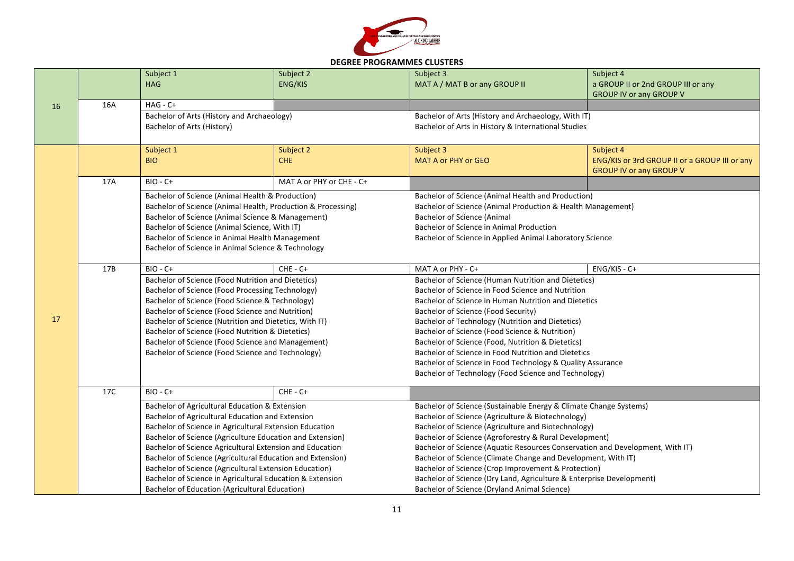

| <b>DEGREE PROGRAMMES CLUSTERS</b> |  |
|-----------------------------------|--|
|-----------------------------------|--|

|    |                                                                                                                      | Subject 1<br><b>HAG</b>                                                                                                                                                                                                                                                                                                         | Subject 2<br><b>ENG/KIS</b>                       | Subject 3<br>MAT A / MAT B or any GROUP II                                                                                                                                                                                                                             | Subject 4<br>a GROUP II or 2nd GROUP III or any<br><b>GROUP IV or any GROUP V</b> |
|----|----------------------------------------------------------------------------------------------------------------------|---------------------------------------------------------------------------------------------------------------------------------------------------------------------------------------------------------------------------------------------------------------------------------------------------------------------------------|---------------------------------------------------|------------------------------------------------------------------------------------------------------------------------------------------------------------------------------------------------------------------------------------------------------------------------|-----------------------------------------------------------------------------------|
| 16 | 16A                                                                                                                  | $HAG - C +$                                                                                                                                                                                                                                                                                                                     |                                                   |                                                                                                                                                                                                                                                                        |                                                                                   |
|    |                                                                                                                      | Bachelor of Arts (History and Archaeology)<br>Bachelor of Arts (History)                                                                                                                                                                                                                                                        |                                                   | Bachelor of Arts (History and Archaeology, With IT)<br>Bachelor of Arts in History & International Studies                                                                                                                                                             |                                                                                   |
|    |                                                                                                                      | Subject 1                                                                                                                                                                                                                                                                                                                       | Subject 2                                         | Subject 3                                                                                                                                                                                                                                                              | Subject 4                                                                         |
|    |                                                                                                                      | <b>BIO</b>                                                                                                                                                                                                                                                                                                                      | <b>CHE</b>                                        | MAT A or PHY or GEO                                                                                                                                                                                                                                                    | ENG/KIS or 3rd GROUP II or a GROUP III or any<br><b>GROUP IV or any GROUP V</b>   |
|    | 17A                                                                                                                  | $BIO - C+$                                                                                                                                                                                                                                                                                                                      | MAT A or PHY or CHE - C+                          |                                                                                                                                                                                                                                                                        |                                                                                   |
|    |                                                                                                                      | Bachelor of Science (Animal Health & Production)<br>Bachelor of Science (Animal Health, Production & Processing)<br>Bachelor of Science (Animal Science & Management)<br>Bachelor of Science (Animal Science, With IT)<br>Bachelor of Science in Animal Health Management<br>Bachelor of Science in Animal Science & Technology |                                                   | Bachelor of Science (Animal Health and Production)<br>Bachelor of Science (Animal Production & Health Management)<br><b>Bachelor of Science (Animal</b><br><b>Bachelor of Science in Animal Production</b><br>Bachelor of Science in Applied Animal Laboratory Science |                                                                                   |
|    | 17B                                                                                                                  | $BIO - C+$                                                                                                                                                                                                                                                                                                                      | $CHE - C +$                                       | MAT A or PHY - C+                                                                                                                                                                                                                                                      | ENG/KIS - C+                                                                      |
|    | Bachelor of Science (Food Nutrition and Dietetics)                                                                   |                                                                                                                                                                                                                                                                                                                                 |                                                   | Bachelor of Science (Human Nutrition and Dietetics)                                                                                                                                                                                                                    |                                                                                   |
|    |                                                                                                                      | Bachelor of Science (Food Processing Technology)<br>Bachelor of Science (Food Science & Technology)                                                                                                                                                                                                                             |                                                   | Bachelor of Science in Food Science and Nutrition                                                                                                                                                                                                                      |                                                                                   |
|    |                                                                                                                      |                                                                                                                                                                                                                                                                                                                                 |                                                   | Bachelor of Science in Human Nutrition and Dietetics                                                                                                                                                                                                                   |                                                                                   |
|    |                                                                                                                      | Bachelor of Science (Food Science and Nutrition)                                                                                                                                                                                                                                                                                |                                                   | Bachelor of Science (Food Security)                                                                                                                                                                                                                                    |                                                                                   |
| 17 |                                                                                                                      | Bachelor of Science (Nutrition and Dietetics, With IT)                                                                                                                                                                                                                                                                          |                                                   | Bachelor of Technology (Nutrition and Dietetics)                                                                                                                                                                                                                       |                                                                                   |
|    |                                                                                                                      | Bachelor of Science (Food Nutrition & Dietetics)                                                                                                                                                                                                                                                                                |                                                   | Bachelor of Science (Food Science & Nutrition)                                                                                                                                                                                                                         |                                                                                   |
|    |                                                                                                                      | Bachelor of Science (Food Science and Management)                                                                                                                                                                                                                                                                               |                                                   | Bachelor of Science (Food, Nutrition & Dietetics)<br>Bachelor of Science in Food Nutrition and Dietetics                                                                                                                                                               |                                                                                   |
|    |                                                                                                                      | Bachelor of Science (Food Science and Technology)                                                                                                                                                                                                                                                                               |                                                   | Bachelor of Science in Food Technology & Quality Assurance                                                                                                                                                                                                             |                                                                                   |
|    |                                                                                                                      |                                                                                                                                                                                                                                                                                                                                 |                                                   | Bachelor of Technology (Food Science and Technology)                                                                                                                                                                                                                   |                                                                                   |
|    | 17C                                                                                                                  | $BIO - C+$                                                                                                                                                                                                                                                                                                                      | $CHE - C +$                                       |                                                                                                                                                                                                                                                                        |                                                                                   |
|    |                                                                                                                      | Bachelor of Agricultural Education & Extension                                                                                                                                                                                                                                                                                  |                                                   | Bachelor of Science (Sustainable Energy & Climate Change Systems)                                                                                                                                                                                                      |                                                                                   |
|    | Bachelor of Agricultural Education and Extension<br>Bachelor of Science in Agricultural Extension Education          |                                                                                                                                                                                                                                                                                                                                 | Bachelor of Science (Agriculture & Biotechnology) |                                                                                                                                                                                                                                                                        |                                                                                   |
|    |                                                                                                                      |                                                                                                                                                                                                                                                                                                                                 |                                                   | Bachelor of Science (Agriculture and Biotechnology)                                                                                                                                                                                                                    |                                                                                   |
|    |                                                                                                                      | Bachelor of Science (Agriculture Education and Extension)                                                                                                                                                                                                                                                                       |                                                   | Bachelor of Science (Agroforestry & Rural Development)                                                                                                                                                                                                                 |                                                                                   |
|    |                                                                                                                      | Bachelor of Science Agricultural Extension and Education                                                                                                                                                                                                                                                                        |                                                   | Bachelor of Science (Aquatic Resources Conservation and Development, With IT)                                                                                                                                                                                          |                                                                                   |
|    | Bachelor of Science (Agricultural Education and Extension)<br>Bachelor of Science (Agricultural Extension Education) |                                                                                                                                                                                                                                                                                                                                 |                                                   | Bachelor of Science (Climate Change and Development, With IT)                                                                                                                                                                                                          |                                                                                   |
|    |                                                                                                                      |                                                                                                                                                                                                                                                                                                                                 |                                                   | Bachelor of Science (Crop Improvement & Protection)                                                                                                                                                                                                                    |                                                                                   |
|    |                                                                                                                      | Bachelor of Science in Agricultural Education & Extension                                                                                                                                                                                                                                                                       |                                                   | Bachelor of Science (Dry Land, Agriculture & Enterprise Development)                                                                                                                                                                                                   |                                                                                   |
|    |                                                                                                                      | Bachelor of Education (Agricultural Education)                                                                                                                                                                                                                                                                                  |                                                   | Bachelor of Science (Dryland Animal Science)                                                                                                                                                                                                                           |                                                                                   |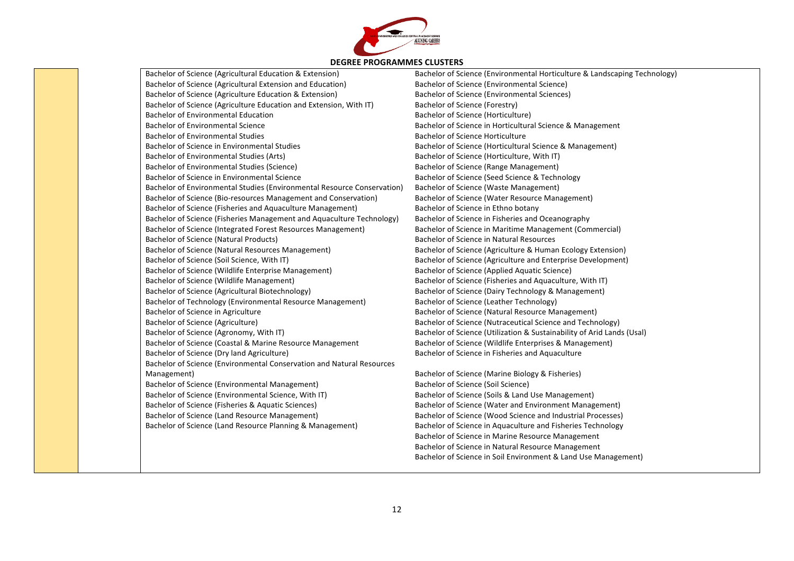

Bachelor of Science (Agricultural Education & Extension) Bachelor of Science (Agricultural Extension and Education) Bachelor of Science (Agriculture Education & Extension) Bachelor of Science (Agriculture Education and Extension, With IT) Bachelor of Environmental Education Bachelor of Environmental Science Bachelor of Environmental Studies Bachelor of Science in Environmental Studies Bachelor of Environmental Studies (Arts) Bachelor of Environmental Studies (Science) Bachelor of Science in Environmental Science Bachelor of Environmental Studies (Environmental Resource Conservation) Bachelor of Science (Bio-resources Management and Conservation) Bachelor of Science (Fisheries and Aquaculture Management) Bachelor of Science (Fisheries Management and Aquaculture Technology) Bachelor of Science (Integrated Forest Resources Management) Bachelor of Science (Natural Products) Bachelor of Science (Natural Resources Management) Bachelor of Science (Soil Science, With IT) Bachelor of Science (Wildlife Enterprise Management) Bachelor of Science (Wildlife Management) Bachelor of Science (Agricultural Biotechnology) Bachelor of Technology (Environmental Resource Management) Bachelor of Science in Agriculture Bachelor of Science (Agriculture) Bachelor of Science (Agronomy, With IT) Bachelor of Science (Coastal & Marine Resource Management Bachelor of Science (Dry land Agriculture) Bachelor of Science (Environmental Conservation and Natural Resources Management) Bachelor of Science (Environmental Management) Bachelor of Science (Environmental Science, With IT) Bachelor of Science (Fisheries & Aquatic Sciences) Bachelor of Science (Land Resource Management) Bachelor of Science (Land Resource Planning & Management)

Bachelor of Science (Environmental Horticulture & Landscaping Technology) Bachelor of Science (Environmental Science) Bachelor of Science (Environmental Sciences) Bachelor of Science (Forestry) Bachelor of Science (Horticulture) Bachelor of Science in Horticultural Science & Management Bachelor of Science Horticulture Bachelor of Science (Horticultural Science & Management) Bachelor of Science (Horticulture, With IT) Bachelor of Science (Range Management) Bachelor of Science (Seed Science & Technology Bachelor of Science (Waste Management) Bachelor of Science (Water Resource Management) Bachelor of Science in Ethno botany Bachelor of Science in Fisheries and Oceanography Bachelor of Science in Maritime Management (Commercial) Bachelor of Science in Natural Resources Bachelor of Science (Agriculture & Human Ecology Extension) Bachelor of Science (Agriculture and Enterprise Development) Bachelor of Science (Applied Aquatic Science) Bachelor of Science (Fisheries and Aquaculture, With IT) Bachelor of Science (Dairy Technology & Management) Bachelor of Science (Leather Technology) Bachelor of Science (Natural Resource Management) Bachelor of Science (Nutraceutical Science and Technology) Bachelor of Science (Utilization & Sustainability of Arid Lands (Usal) Bachelor of Science (Wildlife Enterprises & Management) Bachelor of Science in Fisheries and Aquaculture

Bachelor of Science (Marine Biology & Fisheries) Bachelor of Science (Soil Science) Bachelor of Science (Soils & Land Use Management) Bachelor of Science (Water and Environment Management) Bachelor of Science (Wood Science and Industrial Processes) Bachelor of Science in Aquaculture and Fisheries Technology Bachelor of Science in Marine Resource Management Bachelor of Science in Natural Resource Management Bachelor of Science in Soil Environment & Land Use Management)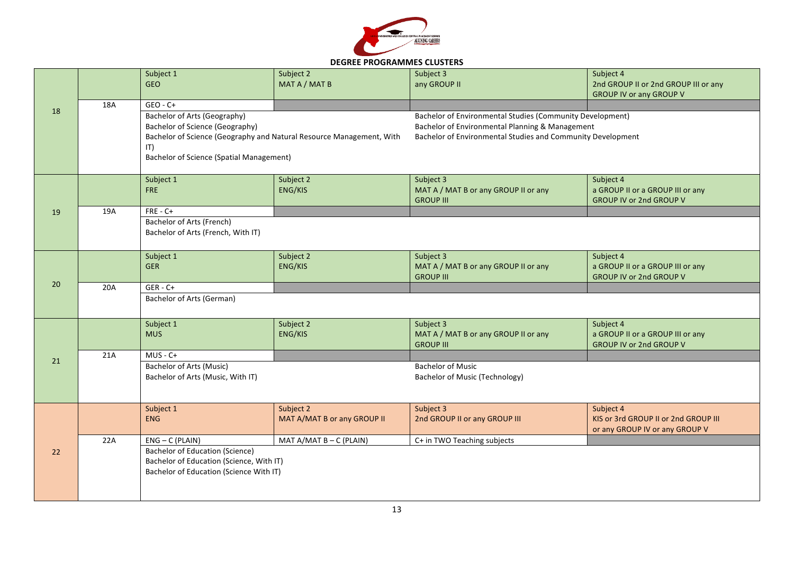

## **DEGREE PROGRAMMES CLUSTERS**

|    |     | Subject 1                                       | Subject 2                                                            | Subject 3                                                   | Subject 4                            |
|----|-----|-------------------------------------------------|----------------------------------------------------------------------|-------------------------------------------------------------|--------------------------------------|
|    |     | <b>GEO</b>                                      | MAT A / MAT B                                                        | any GROUP II                                                | 2nd GROUP II or 2nd GROUP III or any |
|    |     |                                                 |                                                                      |                                                             | <b>GROUP IV or any GROUP V</b>       |
|    | 18A | $GEO - C +$                                     |                                                                      |                                                             |                                      |
| 18 |     | Bachelor of Arts (Geography)                    |                                                                      | Bachelor of Environmental Studies (Community Development)   |                                      |
|    |     | <b>Bachelor of Science (Geography)</b>          |                                                                      | Bachelor of Environmental Planning & Management             |                                      |
|    |     |                                                 | Bachelor of Science (Geography and Natural Resource Management, With | Bachelor of Environmental Studies and Community Development |                                      |
|    |     |                                                 |                                                                      |                                                             |                                      |
|    |     | IT)                                             |                                                                      |                                                             |                                      |
|    |     | <b>Bachelor of Science (Spatial Management)</b> |                                                                      |                                                             |                                      |
|    |     |                                                 |                                                                      |                                                             |                                      |
|    |     | Subject 1                                       | Subject 2                                                            | Subject 3                                                   | Subject 4                            |
|    |     | <b>FRE</b>                                      | <b>ENG/KIS</b>                                                       | MAT A / MAT B or any GROUP II or any                        | a GROUP II or a GROUP III or any     |
|    |     |                                                 |                                                                      | <b>GROUP III</b>                                            | <b>GROUP IV or 2nd GROUP V</b>       |
| 19 | 19A | $FRE - C +$                                     |                                                                      |                                                             |                                      |
|    |     | Bachelor of Arts (French)                       |                                                                      |                                                             |                                      |
|    |     | Bachelor of Arts (French, With IT)              |                                                                      |                                                             |                                      |
|    |     |                                                 |                                                                      |                                                             |                                      |
|    |     | Subject 1                                       | Subject 2                                                            | Subject 3                                                   | Subject 4                            |
|    |     | <b>GER</b>                                      | ENG/KIS                                                              | MAT A / MAT B or any GROUP II or any                        | a GROUP II or a GROUP III or any     |
|    |     |                                                 |                                                                      | <b>GROUP III</b>                                            | <b>GROUP IV or 2nd GROUP V</b>       |
| 20 | 20A | $GER - C+$                                      |                                                                      |                                                             |                                      |
|    |     | Bachelor of Arts (German)                       |                                                                      |                                                             |                                      |
|    |     |                                                 |                                                                      |                                                             |                                      |
|    |     | Subject 1                                       | Subject 2                                                            | Subject 3                                                   | Subject 4                            |
|    |     | <b>MUS</b>                                      | <b>ENG/KIS</b>                                                       | MAT A / MAT B or any GROUP II or any                        | a GROUP II or a GROUP III or any     |
|    |     |                                                 |                                                                      | <b>GROUP III</b>                                            | <b>GROUP IV or 2nd GROUP V</b>       |
|    | 21A | $MUS - C +$                                     |                                                                      |                                                             |                                      |
| 21 |     | <b>Bachelor of Arts (Music)</b>                 |                                                                      | <b>Bachelor of Music</b>                                    |                                      |
|    |     |                                                 |                                                                      |                                                             |                                      |
|    |     | Bachelor of Arts (Music, With IT)               |                                                                      | <b>Bachelor of Music (Technology)</b>                       |                                      |
|    |     |                                                 |                                                                      |                                                             |                                      |
|    |     | Subject 1                                       | Subject 2                                                            | Subject 3                                                   | Subject 4                            |
|    |     | <b>ENG</b>                                      | MAT A/MAT B or any GROUP II                                          | 2nd GROUP II or any GROUP III                               | KIS or 3rd GROUP II or 2nd GROUP III |
|    |     |                                                 |                                                                      |                                                             |                                      |
| 22 | 22A | $ENG - C$ (PLAIN)                               | MAT A/MAT B - C (PLAIN)                                              | C+ in TWO Teaching subjects                                 | or any GROUP IV or any GROUP V       |
|    |     |                                                 |                                                                      |                                                             |                                      |
|    |     | <b>Bachelor of Education (Science)</b>          |                                                                      |                                                             |                                      |
|    |     | Bachelor of Education (Science, With IT)        |                                                                      |                                                             |                                      |
|    |     |                                                 |                                                                      |                                                             |                                      |
|    |     | Bachelor of Education (Science With IT)         |                                                                      |                                                             |                                      |
|    |     |                                                 |                                                                      |                                                             |                                      |